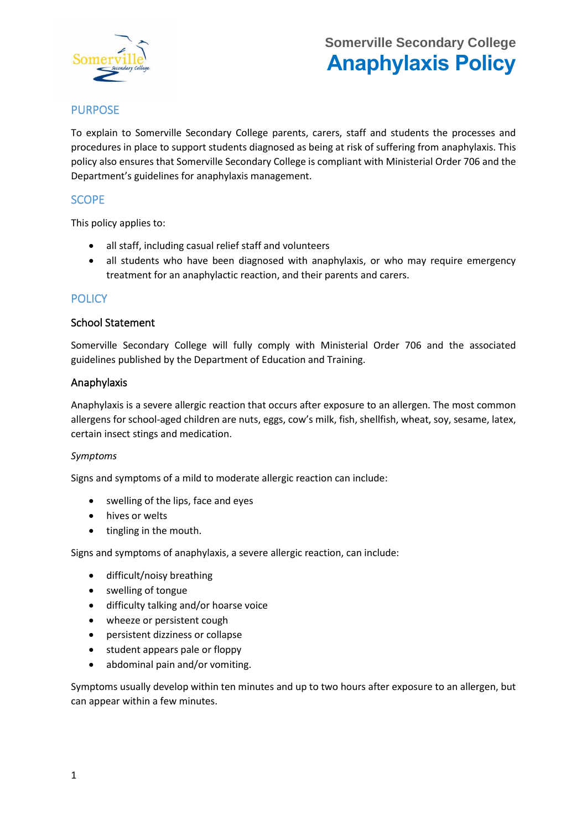

# **Somerville Secondary College Anaphylaxis Policy**

# PURPOSE

To explain to Somerville Secondary College parents, carers, staff and students the processes and procedures in place to support students diagnosed as being at risk of suffering from anaphylaxis. This policy also ensures that Somerville Secondary College is compliant with Ministerial Order 706 and the Department's guidelines for anaphylaxis management.

### **SCOPE**

This policy applies to:

- all staff, including casual relief staff and volunteers
- all students who have been diagnosed with anaphylaxis, or who may require emergency treatment for an anaphylactic reaction, and their parents and carers.

### **POLICY**

### School Statement

Somerville Secondary College will fully comply with Ministerial Order 706 and the associated guidelines published by the Department of Education and Training.

### Anaphylaxis

Anaphylaxis is a severe allergic reaction that occurs after exposure to an allergen. The most common allergens for school-aged children are nuts, eggs, cow's milk, fish, shellfish, wheat, soy, sesame, latex, certain insect stings and medication.

#### *Symptoms*

Signs and symptoms of a mild to moderate allergic reaction can include:

- swelling of the lips, face and eyes
- hives or welts
- tingling in the mouth.

Signs and symptoms of anaphylaxis, a severe allergic reaction, can include:

- difficult/noisy breathing
- swelling of tongue
- difficulty talking and/or hoarse voice
- wheeze or persistent cough
- persistent dizziness or collapse
- student appears pale or floppy
- abdominal pain and/or vomiting.

Symptoms usually develop within ten minutes and up to two hours after exposure to an allergen, but can appear within a few minutes.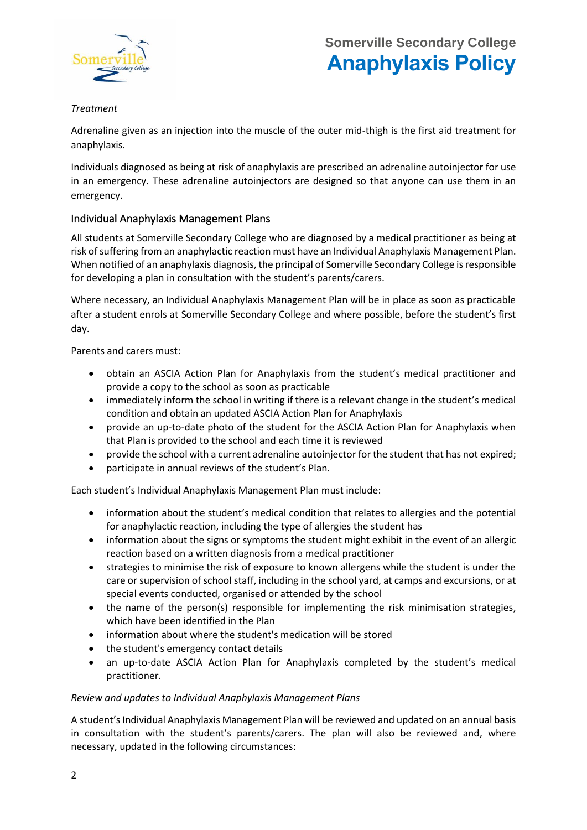

### *Treatment*

Adrenaline given as an injection into the muscle of the outer mid-thigh is the first aid treatment for anaphylaxis.

Individuals diagnosed as being at risk of anaphylaxis are prescribed an adrenaline autoinjector for use in an emergency. These adrenaline autoinjectors are designed so that anyone can use them in an emergency.

### Individual Anaphylaxis Management Plans

All students at Somerville Secondary College who are diagnosed by a medical practitioner as being at risk of suffering from an anaphylactic reaction must have an Individual Anaphylaxis Management Plan. When notified of an anaphylaxis diagnosis, the principal of Somerville Secondary College is responsible for developing a plan in consultation with the student's parents/carers.

Where necessary, an Individual Anaphylaxis Management Plan will be in place as soon as practicable after a student enrols at Somerville Secondary College and where possible, before the student's first day.

Parents and carers must:

- obtain an ASCIA Action Plan for Anaphylaxis from the student's medical practitioner and provide a copy to the school as soon as practicable
- immediately inform the school in writing if there is a relevant change in the student's medical condition and obtain an updated ASCIA Action Plan for Anaphylaxis
- provide an up-to-date photo of the student for the ASCIA Action Plan for Anaphylaxis when that Plan is provided to the school and each time it is reviewed
- provide the school with a current adrenaline autoinjector for the student that has not expired;
- participate in annual reviews of the student's Plan.

Each student's Individual Anaphylaxis Management Plan must include:

- information about the student's medical condition that relates to allergies and the potential for anaphylactic reaction, including the type of allergies the student has
- information about the signs or symptoms the student might exhibit in the event of an allergic reaction based on a written diagnosis from a medical practitioner
- strategies to minimise the risk of exposure to known allergens while the student is under the care or supervision of school staff, including in the school yard, at camps and excursions, or at special events conducted, organised or attended by the school
- the name of the person(s) responsible for implementing the risk minimisation strategies, which have been identified in the Plan
- information about where the student's medication will be stored
- the student's emergency contact details
- an up-to-date ASCIA Action Plan for Anaphylaxis completed by the student's medical practitioner.

### *Review and updates to Individual Anaphylaxis Management Plans*

A student's Individual Anaphylaxis Management Plan will be reviewed and updated on an annual basis in consultation with the student's parents/carers. The plan will also be reviewed and, where necessary, updated in the following circumstances: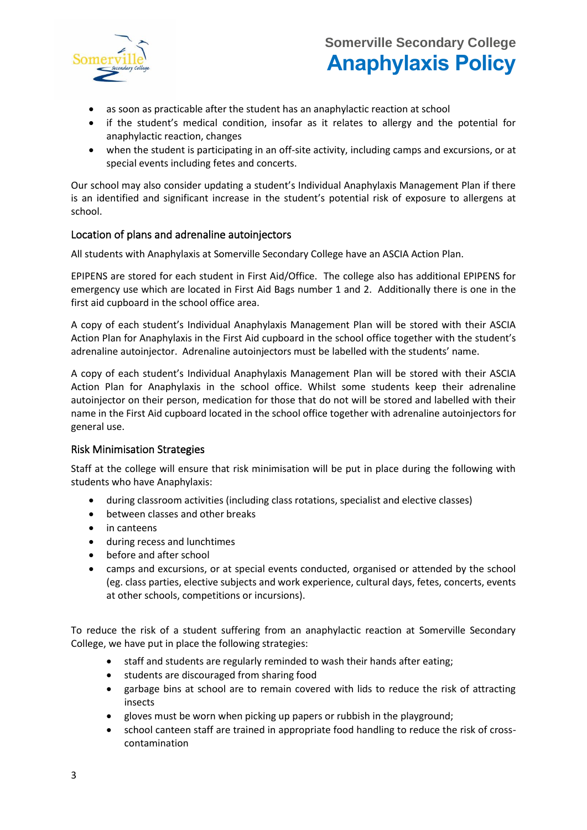

# **Somerville Secondary College Anaphylaxis Policy**

- as soon as practicable after the student has an anaphylactic reaction at school
- if the student's medical condition, insofar as it relates to allergy and the potential for anaphylactic reaction, changes
- when the student is participating in an off-site activity, including camps and excursions, or at special events including fetes and concerts.

Our school may also consider updating a student's Individual Anaphylaxis Management Plan if there is an identified and significant increase in the student's potential risk of exposure to allergens at school.

### Location of plans and adrenaline autoinjectors

All students with Anaphylaxis at Somerville Secondary College have an ASCIA Action Plan.

EPIPENS are stored for each student in First Aid/Office. The college also has additional EPIPENS for emergency use which are located in First Aid Bags number 1 and 2. Additionally there is one in the first aid cupboard in the school office area.

A copy of each student's Individual Anaphylaxis Management Plan will be stored with their ASCIA Action Plan for Anaphylaxis in the First Aid cupboard in the school office together with the student's adrenaline autoinjector. Adrenaline autoinjectors must be labelled with the students' name.

A copy of each student's Individual Anaphylaxis Management Plan will be stored with their ASCIA Action Plan for Anaphylaxis in the school office. Whilst some students keep their adrenaline autoinjector on their person, medication for those that do not will be stored and labelled with their name in the First Aid cupboard located in the school office together with adrenaline autoinjectors for general use.

#### Risk Minimisation Strategies

Staff at the college will ensure that risk minimisation will be put in place during the following with students who have Anaphylaxis:

- during classroom activities (including class rotations, specialist and elective classes)
- between classes and other breaks
- in canteens
- during recess and lunchtimes
- before and after school
- camps and excursions, or at special events conducted, organised or attended by the school (eg. class parties, elective subjects and work experience, cultural days, fetes, concerts, events at other schools, competitions or incursions).

To reduce the risk of a student suffering from an anaphylactic reaction at Somerville Secondary College, we have put in place the following strategies:

- staff and students are regularly reminded to wash their hands after eating;
- students are discouraged from sharing food
- garbage bins at school are to remain covered with lids to reduce the risk of attracting insects
- gloves must be worn when picking up papers or rubbish in the playground;
- school canteen staff are trained in appropriate food handling to reduce the risk of crosscontamination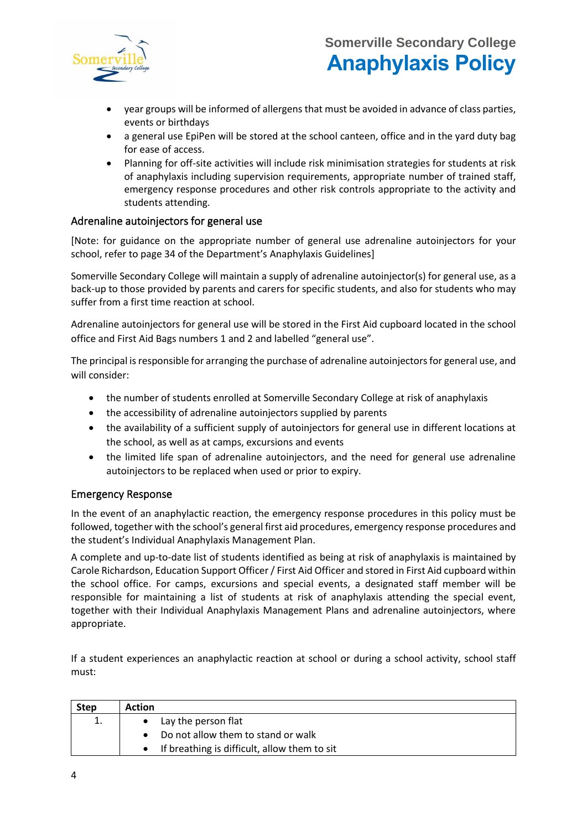

- year groups will be informed of allergens that must be avoided in advance of class parties, events or birthdays
- a general use EpiPen will be stored at the school canteen, office and in the yard duty bag for ease of access.
- Planning for off-site activities will include risk minimisation strategies for students at risk of anaphylaxis including supervision requirements, appropriate number of trained staff, emergency response procedures and other risk controls appropriate to the activity and students attending.

### Adrenaline autoinjectors for general use

[Note: for guidance on the appropriate number of general use adrenaline autoinjectors for your school, refer to page 34 of the Department's [Anaphylaxis Guidelines\]](https://www.education.vic.gov.au/school/teachers/health/pages/anaphylaxisschl.aspx)

Somerville Secondary College will maintain a supply of adrenaline autoinjector(s) for general use, as a back-up to those provided by parents and carers for specific students, and also for students who may suffer from a first time reaction at school.

Adrenaline autoinjectors for general use will be stored in the First Aid cupboard located in the school office and First Aid Bags numbers 1 and 2 and labelled "general use".

The principal is responsible for arranging the purchase of adrenaline autoinjectors for general use, and will consider:

- the number of students enrolled at Somerville Secondary College at risk of anaphylaxis
- the accessibility of adrenaline autoinjectors supplied by parents
- the availability of a sufficient supply of autoinjectors for general use in different locations at the school, as well as at camps, excursions and events
- the limited life span of adrenaline autoinjectors, and the need for general use adrenaline autoinjectors to be replaced when used or prior to expiry.

### Emergency Response

In the event of an anaphylactic reaction, the emergency response procedures in this policy must be followed, together with the school's general first aid procedures, emergency response procedures and the student's Individual Anaphylaxis Management Plan.

A complete and up-to-date list of students identified as being at risk of anaphylaxis is maintained by Carole Richardson, Education Support Officer / First Aid Officer and stored in First Aid cupboard within the school office. For camps, excursions and special events, a designated staff member will be responsible for maintaining a list of students at risk of anaphylaxis attending the special event, together with their Individual Anaphylaxis Management Plans and adrenaline autoinjectors, where appropriate.

If a student experiences an anaphylactic reaction at school or during a school activity, school staff must:

| <b>Step</b> | <b>Action</b>                                |
|-------------|----------------------------------------------|
| 1.          | Lay the person flat                          |
|             | Do not allow them to stand or walk           |
|             | If breathing is difficult, allow them to sit |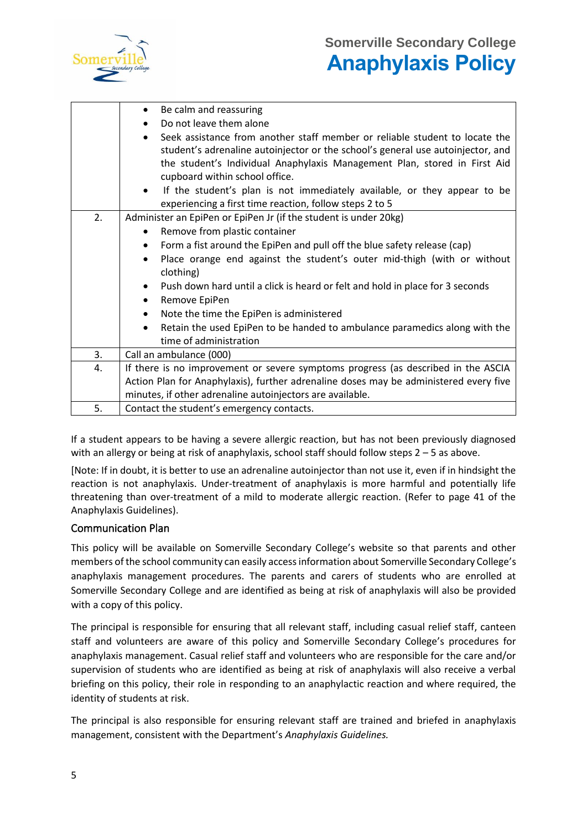

|    | Be calm and reassuring<br>$\bullet$                                                                                                                                                                                                                                                        |
|----|--------------------------------------------------------------------------------------------------------------------------------------------------------------------------------------------------------------------------------------------------------------------------------------------|
|    | Do not leave them alone                                                                                                                                                                                                                                                                    |
|    | Seek assistance from another staff member or reliable student to locate the<br>$\bullet$<br>student's adrenaline autoinjector or the school's general use autoinjector, and<br>the student's Individual Anaphylaxis Management Plan, stored in First Aid<br>cupboard within school office. |
|    | If the student's plan is not immediately available, or they appear to be<br>experiencing a first time reaction, follow steps 2 to 5                                                                                                                                                        |
| 2. | Administer an EpiPen or EpiPen Jr (if the student is under 20kg)                                                                                                                                                                                                                           |
|    | Remove from plastic container                                                                                                                                                                                                                                                              |
|    | Form a fist around the EpiPen and pull off the blue safety release (cap)<br>$\bullet$                                                                                                                                                                                                      |
|    | Place orange end against the student's outer mid-thigh (with or without<br>clothing)                                                                                                                                                                                                       |
|    | Push down hard until a click is heard or felt and hold in place for 3 seconds<br>$\bullet$<br>Remove EpiPen<br>$\bullet$                                                                                                                                                                   |
|    | Note the time the EpiPen is administered<br>$\bullet$                                                                                                                                                                                                                                      |
|    | Retain the used EpiPen to be handed to ambulance paramedics along with the<br>$\bullet$                                                                                                                                                                                                    |
|    | time of administration                                                                                                                                                                                                                                                                     |
| 3. | Call an ambulance (000)                                                                                                                                                                                                                                                                    |
| 4. | If there is no improvement or severe symptoms progress (as described in the ASCIA                                                                                                                                                                                                          |
|    | Action Plan for Anaphylaxis), further adrenaline doses may be administered every five                                                                                                                                                                                                      |
|    | minutes, if other adrenaline autoinjectors are available.                                                                                                                                                                                                                                  |
| 5. | Contact the student's emergency contacts.                                                                                                                                                                                                                                                  |

If a student appears to be having a severe allergic reaction, but has not been previously diagnosed with an allergy or being at risk of anaphylaxis, school staff should follow steps  $2 - 5$  as above.

[Note: If in doubt, it is better to use an adrenaline autoinjector than not use it, even if in hindsight the reaction is not anaphylaxis. Under-treatment of anaphylaxis is more harmful and potentially life threatening than over-treatment of a mild to moderate allergic reaction. (Refer to page 41 of the [Anaphylaxis Guidelines\)](http://www.education.vic.gov.au/school/teachers/health/pages/anaphylaxisschl.aspx).

### Communication Plan

This policy will be available on Somerville Secondary College's website so that parents and other members of the school community can easily access information about Somerville Secondary College's anaphylaxis management procedures. The parents and carers of students who are enrolled at Somerville Secondary College and are identified as being at risk of anaphylaxis will also be provided with a copy of this policy.

The principal is responsible for ensuring that all relevant staff, including casual relief staff, canteen staff and volunteers are aware of this policy and Somerville Secondary College's procedures for anaphylaxis management. Casual relief staff and volunteers who are responsible for the care and/or supervision of students who are identified as being at risk of anaphylaxis will also receive a verbal briefing on this policy, their role in responding to an anaphylactic reaction and where required, the identity of students at risk.

The principal is also responsible for ensuring relevant staff are trained and briefed in anaphylaxis management, consistent with the Department's *Anaphylaxis Guidelines.*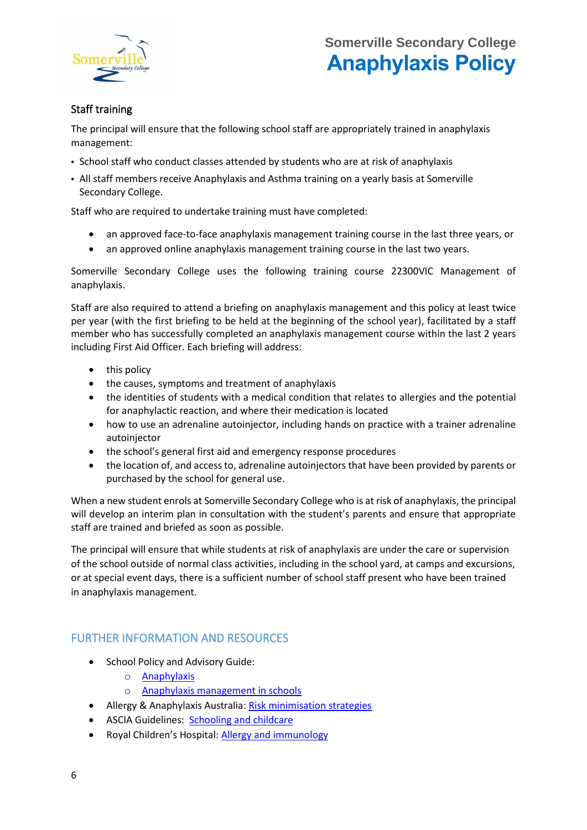

## Staff training

The principal will ensure that the following school staff are appropriately trained in anaphylaxis management:

- School staff who conduct classes attended by students who are at risk of anaphylaxis
- All staff members receive Anaphylaxis and Asthma training on a yearly basis at Somerville Secondary College.

Staff who are required to undertake training must have completed:

- an approved face-to-face anaphylaxis management training course in the last three years, or
- an approved online anaphylaxis management training course in the last two years.

Somerville Secondary College uses the following training course 22300VIC Management of anaphylaxis.

Staff are also required to attend a briefing on anaphylaxis management and this policy at least twice per year (with the first briefing to be held at the beginning of the school year), facilitated by a staff member who has successfully completed an anaphylaxis management course within the last 2 years including First Aid Officer. Each briefing will address:

- this policy
- the causes, symptoms and treatment of anaphylaxis
- the identities of students with a medical condition that relates to allergies and the potential for anaphylactic reaction, and where their medication is located
- how to use an adrenaline autoinjector, including hands on practice with a trainer adrenaline autoinjector
- the school's general first aid and emergency response procedures
- the location of, and access to, adrenaline autoinjectors that have been provided by parents or purchased by the school for general use.

When a new student enrols at Somerville Secondary College who is at risk of anaphylaxis, the principal will develop an interim plan in consultation with the student's parents and ensure that appropriate staff are trained and briefed as soon as possible.

The principal will ensure that while students at risk of anaphylaxis are under the care or supervision of the school outside of normal class activities, including in the school yard, at camps and excursions, or at special event days, there is a sufficient number of school staff present who have been trained in anaphylaxis management.

# FURTHER INFORMATION AND RESOURCES

- School Policy and Advisory Guide:
	- o [Anaphylaxis](http://www.education.vic.gov.au/school/principals/spag/health/Pages/anaphylaxis.aspx)
	- o [Anaphylaxis management in schools](http://www.education.vic.gov.au/school/teachers/health/pages/anaphylaxisschl.aspx)
- Allergy & Anaphylaxis Australia: [Risk minimisation strategies](https://edugate.eduweb.vic.gov.au/edulibrary/Schools/teachers/health/riskminimisation.pdf)
- ASCIA Guidelines: [Schooling and childcare](https://allergyfacts.org.au/allergy-management/schooling-childcare)
- Royal Children's Hospital: [Allergy and immunology](https://www.rch.org.au/allergy/about_us/Allergy_and_Immunology/)